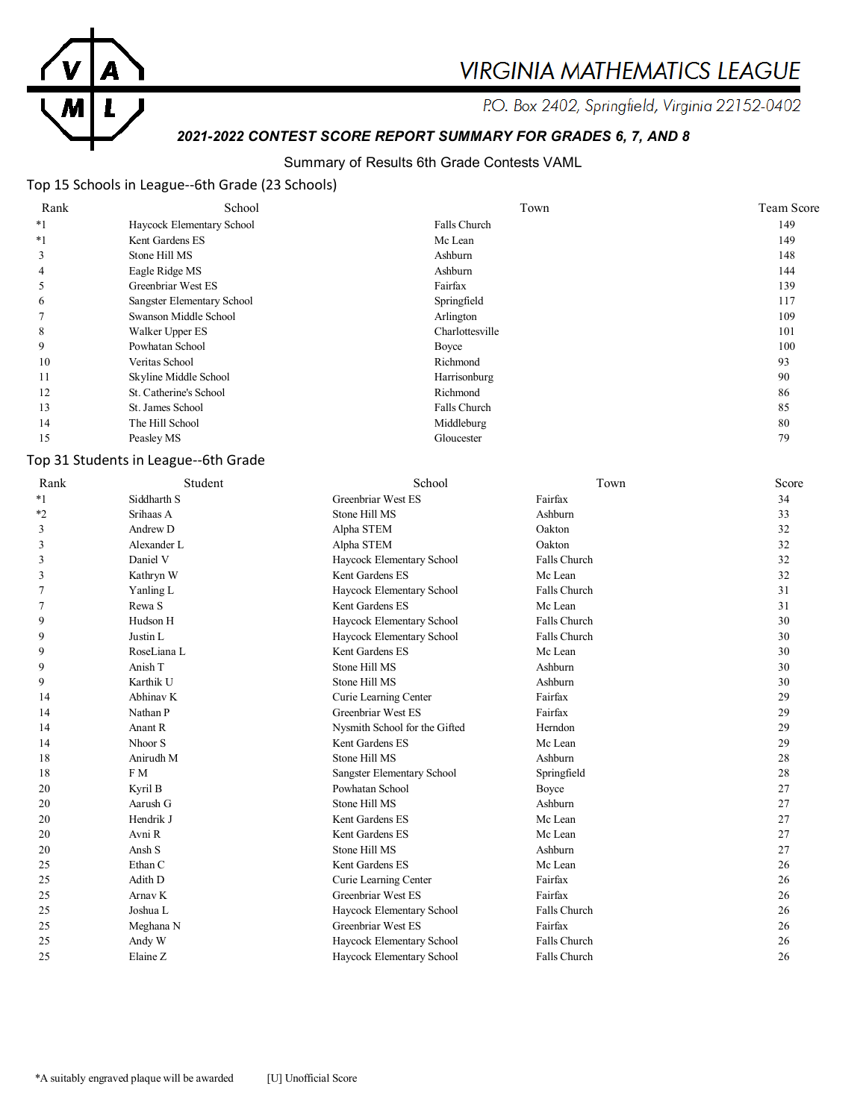

# **VIRGINIA MATHEMATICS LEAGUE**

P.O. Box 2402, Springfield, Virginia 22152-0402

# *2021-2022 CONTEST SCORE REPORT SUMMARY FOR GRADES 6, 7, AND 8*

#### Summary of Results 6th Grade Contests VAML

## Top 15 Schools in League--6th Grade (23 Schools)

| Rank    | School                     | Town            | Team Score |
|---------|----------------------------|-----------------|------------|
| $*_{1}$ | Haycock Elementary School  | Falls Church    | 149        |
| $*1$    | Kent Gardens ES            | Mc Lean         | 149        |
|         | Stone Hill MS              | Ashburn         | 148        |
| 4       | Eagle Ridge MS             | Ashburn         | 144        |
|         | Greenbriar West ES         | Fairfax         | 139        |
| O       | Sangster Elementary School | Springfield     | 117        |
|         | Swanson Middle School      | Arlington       | 109        |
| 8       | Walker Upper ES            | Charlottesville | 101        |
| 9       | Powhatan School            | Boyce           | 100        |
| 10      | Veritas School             | Richmond        | 93         |
| 11      | Skyline Middle School      | Harrisonburg    | 90         |
| 12      | St. Catherine's School     | Richmond        | 86         |
| 13      | St. James School           | Falls Church    | 85         |
| 14      | The Hill School            | Middleburg      | 80         |
| 15      | Peasley MS                 | Gloucester      | 79         |

#### Top 31 Students in League--6th Grade

| Rank    | Student            | School                        | Town         | Score |
|---------|--------------------|-------------------------------|--------------|-------|
| $*_{1}$ | Siddharth S        | Greenbriar West ES            | Fairfax      | 34    |
| *2      | Srihaas A          | Stone Hill MS                 | Ashburn      | 33    |
| 3       | Andrew D           | Alpha STEM                    | Oakton       | 32    |
| 3       | Alexander L        | Alpha STEM                    | Oakton       | 32    |
| 3       | Daniel V           | Haycock Elementary School     | Falls Church | 32    |
| 3       | Kathryn W          | Kent Gardens ES               | Mc Lean      | 32    |
|         | Yanling L          | Haycock Elementary School     | Falls Church | 31    |
|         | Rewa S             | Kent Gardens ES               | Mc Lean      | 31    |
| 9       | Hudson H           | Haycock Elementary School     | Falls Church | 30    |
| 9       | Justin L           | Haycock Elementary School     | Falls Church | 30    |
| 9       | RoseLiana L        | Kent Gardens ES               | Mc Lean      | 30    |
| 9       | Anish T            | Stone Hill MS                 | Ashburn      | 30    |
| 9       | Karthik U          | Stone Hill MS                 | Ashburn      | 30    |
| 14      | Abhinav K          | Curie Learning Center         | Fairfax      | 29    |
| 14      | Nathan P           | Greenbriar West ES            | Fairfax      | 29    |
| 14      | Anant R            | Nysmith School for the Gifted | Herndon      | 29    |
| 14      | Nhoor <sub>S</sub> | Kent Gardens ES               | Mc Lean      | 29    |
| 18      | Anirudh M          | Stone Hill MS                 | Ashburn      | 28    |
| 18      | F M                | Sangster Elementary School    | Springfield  | 28    |
| 20      | Kyril B            | Powhatan School               | Boyce        | 27    |
| 20      | Aarush G           | Stone Hill MS                 | Ashburn      | 27    |
| 20      | Hendrik J          | Kent Gardens ES               | Mc Lean      | 27    |
| 20      | Avni R             | Kent Gardens ES               | Mc Lean      | 27    |
| 20      | Ansh S             | Stone Hill MS                 | Ashburn      | 27    |
| 25      | Ethan C            | Kent Gardens ES               | Mc Lean      | 26    |
| 25      | Adith D            | Curie Learning Center         | Fairfax      | 26    |
| 25      | Arnav K            | Greenbriar West ES            | Fairfax      | 26    |
| 25      | Joshua L           | Haycock Elementary School     | Falls Church | 26    |
| 25      | Meghana N          | Greenbriar West ES            | Fairfax      | 26    |
| 25      | Andy W             | Haycock Elementary School     | Falls Church | 26    |
| 25      | Elaine Z           | Haycock Elementary School     | Falls Church | 26    |
|         |                    |                               |              |       |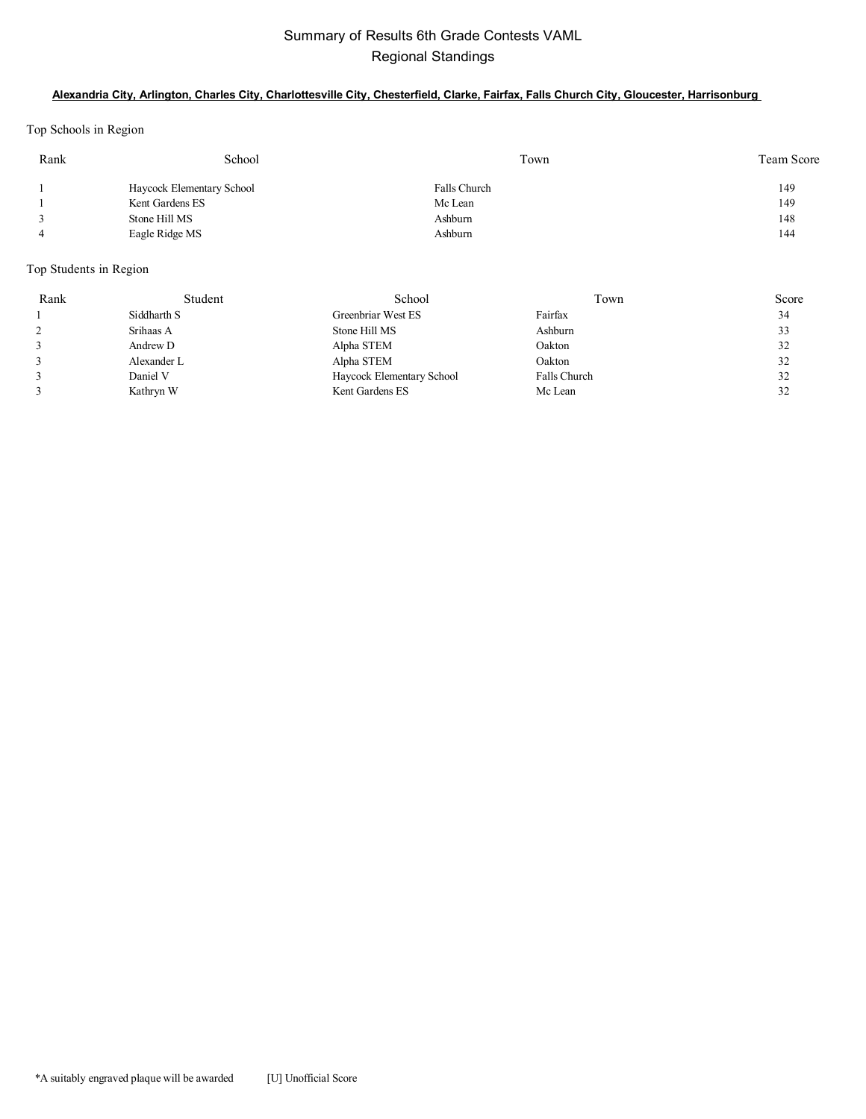## Summary of Results 6th Grade Contests VAML Regional Standings

#### **Alexandria City, Arlington, Charles City, Charlottesville City, Chesterfield, Clarke, Fairfax, Falls Church City, Gloucester, Harrisonburg**

Top Schools in Region

| Rank | School                    | Town         | Team Score |
|------|---------------------------|--------------|------------|
|      | Haycock Elementary School | Falls Church | 149        |
|      | Kent Gardens ES           | Mc Lean      | 149        |
|      | Stone Hill MS             | Ashburn      | 148        |
| 4    | Eagle Ridge MS            | Ashburn      | 144        |

## Top Students in Region

| Rank | Student     | School                    | Town         | Score |
|------|-------------|---------------------------|--------------|-------|
|      | Siddharth S | Greenbriar West ES        | Fairfax      | 34    |
|      | Srihaas A   | Stone Hill MS             | Ashburn      | 33    |
|      | Andrew D    | Alpha STEM                | Oakton       | 32    |
|      | Alexander L | Alpha STEM                | Oakton       | 32    |
|      | Daniel V    | Haycock Elementary School | Falls Church | 32    |
|      | Kathryn W   | Kent Gardens ES           | Mc Lean      | 32    |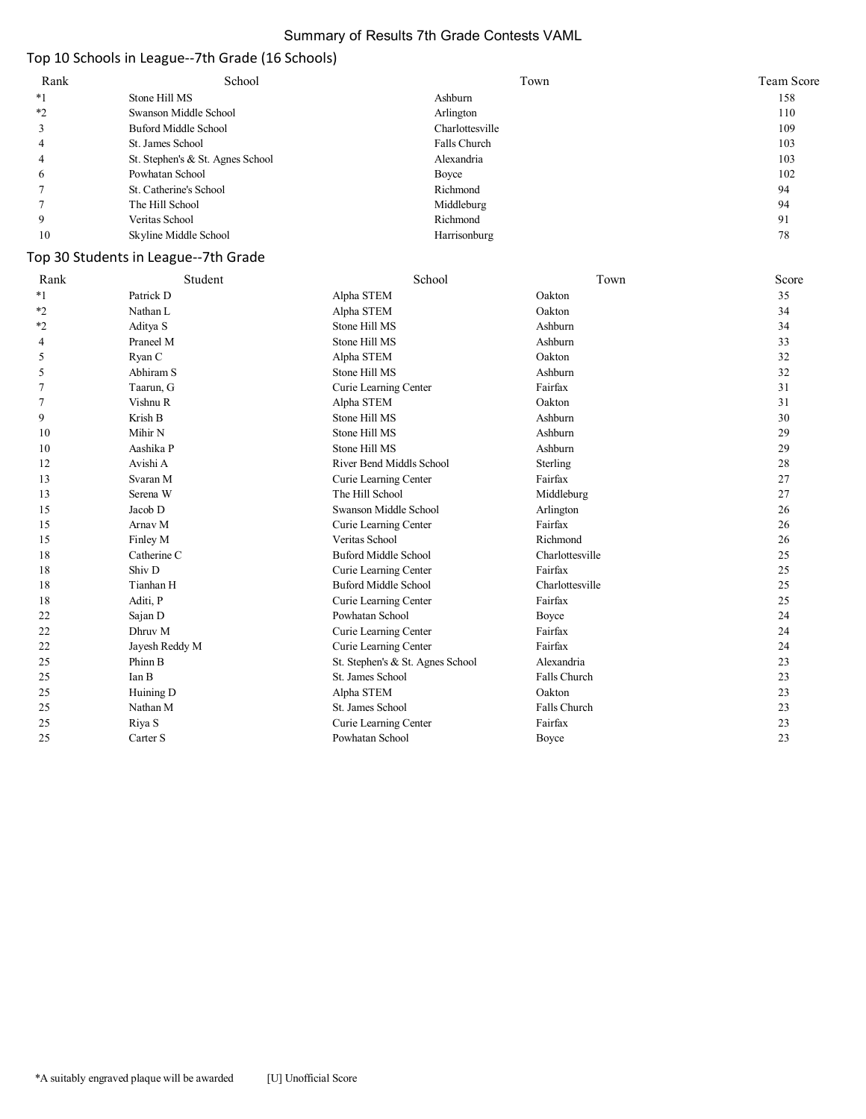#### Summary of Results 7th Grade Contests VAML

## Top 10 Schools in League--7th Grade (16 Schools)

| Rank    | School                           | Town            | Team Score |
|---------|----------------------------------|-----------------|------------|
| *1      | Stone Hill MS                    | Ashburn         | 158        |
| $*_{2}$ | Swanson Middle School            | Arlington       | 110        |
|         | Buford Middle School             | Charlottesville | 109        |
|         | St. James School                 | Falls Church    | 103        |
|         | St. Stephen's & St. Agnes School | Alexandria      | 103        |
| O       | Powhatan School                  | Boyce           | 102        |
|         | St. Catherine's School           | Richmond        | 94         |
|         | The Hill School                  | Middleburg      | 94         |
|         | Veritas School                   | Richmond        | 91         |
| 10      | Skyline Middle School            | Harrisonburg    | 78         |

## Top 30 Students in League--7th Grade

| Rank    | Student        | School                           | Town            | Score |
|---------|----------------|----------------------------------|-----------------|-------|
| $*_{1}$ | Patrick D      | Alpha STEM                       | Oakton          | 35    |
| $*_{2}$ | Nathan L       | Alpha STEM                       | Oakton          | 34    |
| $*_{2}$ | Aditya S       | Stone Hill MS                    | Ashburn         | 34    |
| 4       | Praneel M      | Stone Hill MS                    | Ashburn         | 33    |
| 5       | Ryan C         | Alpha STEM                       | Oakton          | 32    |
| 5       | Abhiram S      | Stone Hill MS                    | Ashburn         | 32    |
|         | Taarun, G      | Curie Learning Center            | Fairfax         | 31    |
| 7       | Vishnu R       | Alpha STEM                       | Oakton          | 31    |
| 9       | Krish B        | Stone Hill MS                    | Ashburn         | 30    |
| 10      | Mihir N        | Stone Hill MS                    | Ashburn         | 29    |
| 10      | Aashika P      | Stone Hill MS                    | Ashburn         | 29    |
| 12      | Avishi A       | River Bend Middls School         | Sterling        | 28    |
| 13      | Svaran M       | Curie Learning Center            | Fairfax         | 27    |
| 13      | Serena W       | The Hill School                  | Middleburg      | 27    |
| 15      | Jacob D        | Swanson Middle School            | Arlington       | 26    |
| 15      | Arnav M        | Curie Learning Center            | Fairfax         | 26    |
| 15      | Finley M       | Veritas School                   | Richmond        | 26    |
| 18      | Catherine C    | <b>Buford Middle School</b>      | Charlottesville | 25    |
| 18      | Shiv D         | Curie Learning Center            | Fairfax         | 25    |
| 18      | Tianhan H      | <b>Buford Middle School</b>      | Charlottesville | 25    |
| 18      | Aditi, P       | Curie Learning Center            | Fairfax         | 25    |
| 22      | Sajan D        | Powhatan School                  | Boyce           | 24    |
| 22      | Dhruv M        | Curie Learning Center            | Fairfax         | 24    |
| 22      | Jayesh Reddy M | Curie Learning Center            | Fairfax         | 24    |
| 25      | Phinn B        | St. Stephen's & St. Agnes School | Alexandria      | 23    |
| 25      | Ian B          | St. James School                 | Falls Church    | 23    |
| 25      | Huining D      | Alpha STEM                       | Oakton          | 23    |
| 25      | Nathan M       | St. James School                 | Falls Church    | 23    |
| 25      | Riya S         | Curie Learning Center            | Fairfax         | 23    |
| 25      | Carter S       | Powhatan School                  | Boyce           | 23    |
|         |                |                                  |                 |       |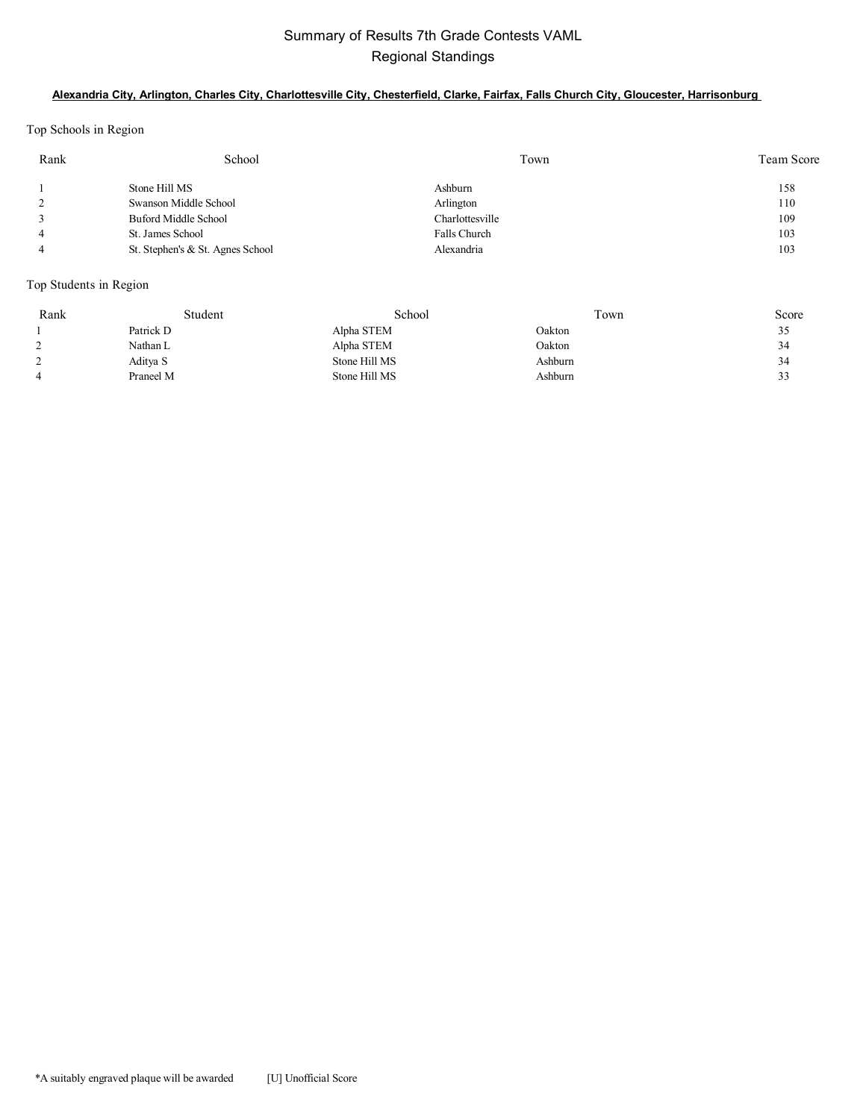## Summary of Results 7th Grade Contests VAML Regional Standings

#### **Alexandria City, Arlington, Charles City, Charlottesville City, Chesterfield, Clarke, Fairfax, Falls Church City, Gloucester, Harrisonburg**

Top Schools in Region

| Rank | School                           | Town            | Team Score |
|------|----------------------------------|-----------------|------------|
|      | Stone Hill MS                    | Ashburn         | 158        |
|      | Swanson Middle School            | Arlington       | 110        |
|      | Buford Middle School             | Charlottesville | 109        |
|      | St. James School                 | Falls Church    | 103        |
|      | St. Stephen's & St. Agnes School | Alexandria      | 103        |

#### Top Students in Region

| Rank | Student   | School        | Town    | Score |
|------|-----------|---------------|---------|-------|
|      | Patrick D | Alpha STEM    | Oakton  | 35    |
|      | Nathan L  | Alpha STEM    | Oakton  | 34    |
|      | Aditya S  | Stone Hill MS | Ashburn | 34    |
|      | Praneel M | Stone Hill MS | Ashburn | 33    |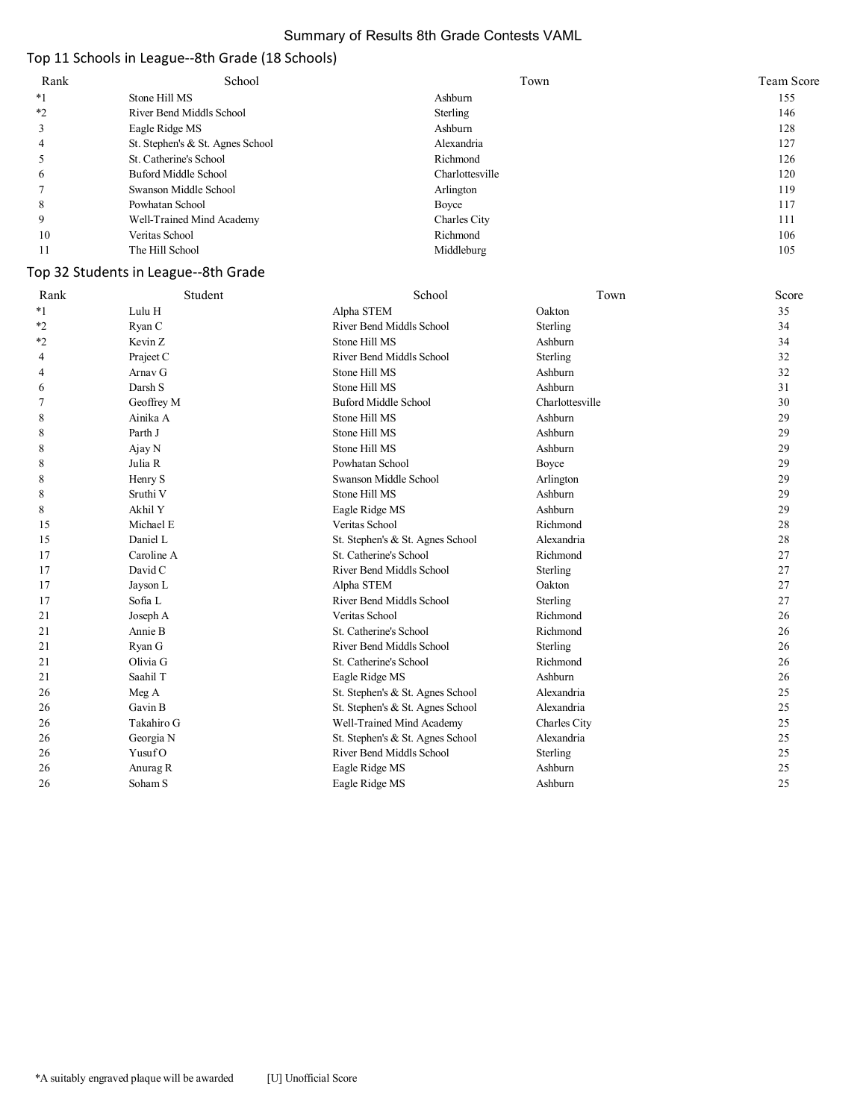#### Summary of Results 8th Grade Contests VAML

## Top 11 Schools in League--8th Grade (18 Schools)

| Rank | School                           | Town            | Team Score |
|------|----------------------------------|-----------------|------------|
| $*1$ | Stone Hill MS                    | Ashburn         | 155        |
| $*2$ | River Bend Middls School         | Sterling        | 146        |
|      | Eagle Ridge MS                   | Ashburn         | 128        |
|      | St. Stephen's & St. Agnes School | Alexandria      | 127        |
|      | St. Catherine's School           | Richmond        | 126        |
| O    | Buford Middle School             | Charlottesville | 120        |
|      | Swanson Middle School            | Arlington       | 119        |
| 8    | Powhatan School                  | Boyce           | 117        |
| 9    | Well-Trained Mind Academy        | Charles City    | 111        |
| 10   | Veritas School                   | Richmond        | 106        |
|      | The Hill School                  | Middleburg      | 105        |

## Top 32 Students in League--8th Grade

| Rank    | Student    | School                           | Town            | Score |
|---------|------------|----------------------------------|-----------------|-------|
| $*1$    | Lulu H     | Alpha STEM                       | Oakton          | 35    |
| $*_{2}$ | Ryan C     | River Bend Middls School         | Sterling        | 34    |
| $*2$    | Kevin Z    | Stone Hill MS                    | Ashburn         | 34    |
| 4       | Praject C  | River Bend Middls School         | Sterling        | 32    |
| 4       | Arnav G    | Stone Hill MS                    | Ashburn         | 32    |
| 6       | Darsh S    | Stone Hill MS                    | Ashburn         | 31    |
| 7       | Geoffrey M | <b>Buford Middle School</b>      | Charlottesville | 30    |
| 8       | Ainika A   | Stone Hill MS                    | Ashburn         | 29    |
| 8       | Parth J    | Stone Hill MS                    | Ashburn         | 29    |
| 8       | Ajay N     | Stone Hill MS                    | Ashburn         | 29    |
| 8       | Julia R    | Powhatan School                  | Boyce           | 29    |
| 8       | Henry S    | Swanson Middle School            | Arlington       | 29    |
| 8       | Sruthi V   | Stone Hill MS                    | Ashburn         | 29    |
| 8       | Akhil Y    | Eagle Ridge MS                   | Ashburn         | 29    |
| 15      | Michael E  | Veritas School                   | Richmond        | 28    |
| 15      | Daniel L   | St. Stephen's & St. Agnes School | Alexandria      | 28    |
| 17      | Caroline A | St. Catherine's School           | Richmond        | 27    |
| 17      | David C    | River Bend Middls School         | Sterling        | 27    |
| 17      | Jayson L   | Alpha STEM                       | Oakton          | 27    |
| 17      | Sofia L    | River Bend Middls School         | Sterling        | 27    |
| 21      | Joseph A   | Veritas School                   | Richmond        | 26    |
| 21      | Annie B    | St. Catherine's School           | Richmond        | 26    |
| 21      | Ryan G     | River Bend Middls School         | Sterling        | 26    |
| 21      | Olivia G   | St. Catherine's School           | Richmond        | 26    |
| 21      | Saahil T   | Eagle Ridge MS                   | Ashburn         | 26    |
| 26      | Meg A      | St. Stephen's & St. Agnes School | Alexandria      | 25    |
| 26      | Gavin B    | St. Stephen's & St. Agnes School | Alexandria      | 25    |
| 26      | Takahiro G | Well-Trained Mind Academy        | Charles City    | 25    |
| 26      | Georgia N  | St. Stephen's & St. Agnes School | Alexandria      | 25    |
| 26      | YusufO     | River Bend Middls School         | Sterling        | 25    |
| 26      | Anurag R   | Eagle Ridge MS                   | Ashburn         | 25    |
| 26      | Soham S    | Eagle Ridge MS                   | Ashburn         | 25    |
|         |            |                                  |                 |       |